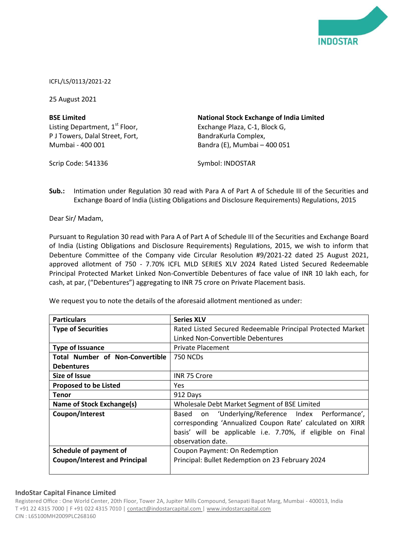

ICFL/LS/0113/2021-22

25 August 2021

| <b>BSE Limited</b>                         | <b>National Stock Exchange of India Limited</b> |
|--------------------------------------------|-------------------------------------------------|
| Listing Department, 1 <sup>st</sup> Floor, | Exchange Plaza, C-1, Block G,                   |
| P J Towers, Dalal Street, Fort,            | BandraKurla Complex,                            |
| Mumbai - 400 001                           | Bandra (E), Mumbai - 400 051                    |

Scrip Code: 541336

Symbol: INDOSTAR

**Sub.:** Intimation under Regulation 30 read with Para A of Part A of Schedule III of the Securities and Exchange Board of India (Listing Obligations and Disclosure Requirements) Regulations, 2015

Dear Sir/ Madam,

Pursuant to Regulation 30 read with Para A of Part A of Schedule III of the Securities and Exchange Board of India (Listing Obligations and Disclosure Requirements) Regulations, 2015, we wish to inform that Debenture Committee of the Company vide Circular Resolution #9/2021-22 dated 25 August 2021, approved allotment of 750 - 7.70% ICFL MLD SERIES XLV 2024 Rated Listed Secured Redeemable Principal Protected Market Linked Non-Convertible Debentures of face value of INR 10 lakh each, for cash, at par, ("Debentures") aggregating to INR 75 crore on Private Placement basis.

We request you to note the details of the aforesaid allotment mentioned as under:

| <b>Particulars</b>                     | <b>Series XLV</b>                                                                                                                                                                                     |
|----------------------------------------|-------------------------------------------------------------------------------------------------------------------------------------------------------------------------------------------------------|
| <b>Type of Securities</b>              | Rated Listed Secured Redeemable Principal Protected Market                                                                                                                                            |
|                                        | Linked Non-Convertible Debentures                                                                                                                                                                     |
| <b>Type of Issuance</b>                | <b>Private Placement</b>                                                                                                                                                                              |
| <b>Total Number of Non-Convertible</b> | <b>750 NCDs</b>                                                                                                                                                                                       |
| <b>Debentures</b>                      |                                                                                                                                                                                                       |
| Size of Issue                          | INR 75 Crore                                                                                                                                                                                          |
| <b>Proposed to be Listed</b>           | Yes.                                                                                                                                                                                                  |
| <b>Tenor</b>                           | 912 Days                                                                                                                                                                                              |
| Name of Stock Exchange(s)              | Wholesale Debt Market Segment of BSE Limited                                                                                                                                                          |
| Coupon/Interest                        | on 'Underlying/Reference Index Performance',<br>Based<br>corresponding 'Annualized Coupon Rate' calculated on XIRR<br>basis' will be applicable i.e. 7.70%, if eligible on Final<br>observation date. |
| <b>Schedule of payment of</b>          | Coupon Payment: On Redemption                                                                                                                                                                         |
| <b>Coupon/Interest and Principal</b>   | Principal: Bullet Redemption on 23 February 2024                                                                                                                                                      |

## **IndoStar Capital Finance Limited**

Registered Office : One World Center, 20th Floor, Tower 2A, Jupiter Mills Compound, Senapati Bapat Marg, Mumbai - 400013, India T +91 22 4315 7000 | F +91 022 4315 7010 | contact@indostarcapital.com | www.indostarcapital.com CIN : L65100MH2009PLC268160